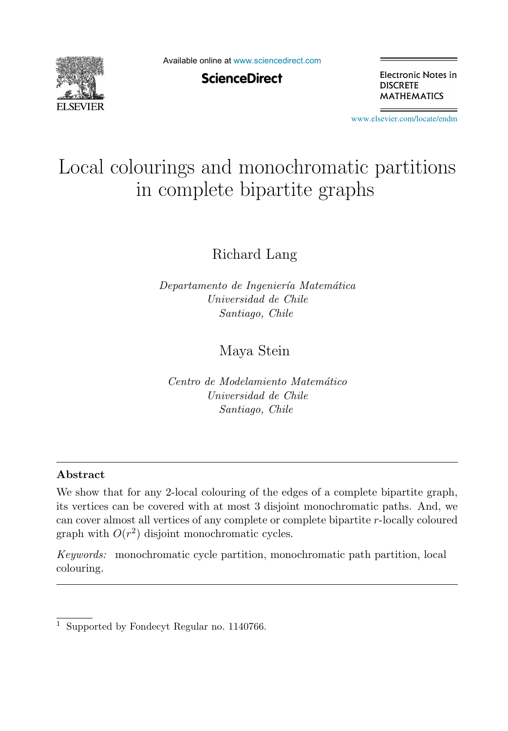

Available online at [www.sciencedirect.com](http://www.sciencedirect.com)

**ScienceDirect** 

Electronic Notes in **DISCRETE MATHEMATICS** 

[www.elsevier.com/locate/endm](http://www.elsevier.com/locate/endm)

# Local colourings and monochromatic partitions in complete bipartite graphs

Richard Lang

Departamento de Ingeniería Matemática Universidad de Chile Santiago, Chile

# Maya Stein

Centro de Modelamiento Matemático Universidad de Chile Santiago, Chile

## **Abstract**

We show that for any 2-local colouring of the edges of a complete bipartite graph, its vertices can be covered with at most 3 disjoint monochromatic paths. And, we can cover almost all vertices of any complete or complete bipartite r-locally coloured graph with  $O(r^2)$  disjoint monochromatic cycles.

Keywords: monochromatic cycle partition, monochromatic path partition, local colouring.

<sup>&</sup>lt;sup>1</sup> Supported by Fondecyt Regular no. 1140766.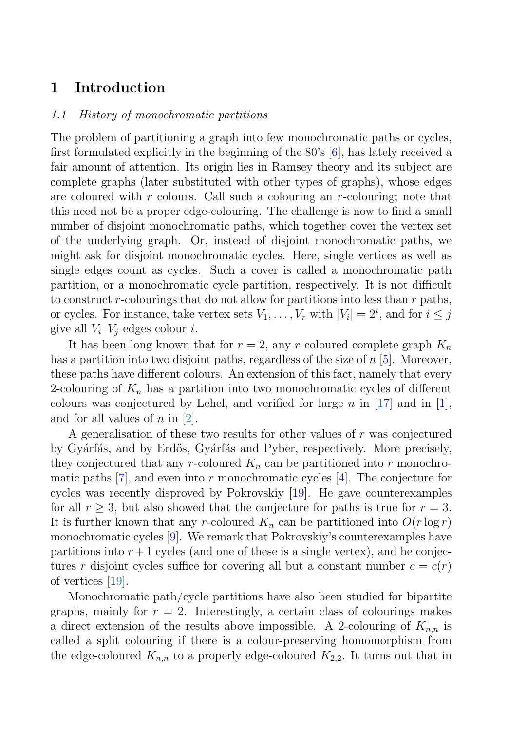## **1 Introduction**

### 1.1 History of monochromatic partitions

The problem of partitioning a graph into few monochromatic paths or cycles, first formulated explicitly in the beginning of the 80's [\[6\]](#page-5-0), has lately received a fair amount of attention. Its origin lies in Ramsey theory and its subject are complete graphs (later substituted with other types of graphs), whose edges are coloured with r colours. Call such a colouring an  $r$ -colouring; note that this need not be a proper edge-colouring. The challenge is now to find a small number of disjoint monochromatic paths, which together cover the vertex set of the underlying graph. Or, instead of disjoint monochromatic paths, we might ask for disjoint monochromatic cycles. Here, single vertices as well as single edges count as cycles. Such a cover is called a monochromatic path partition, or a monochromatic cycle partition, respectively. It is not difficult to construct r-colourings that do not allow for partitions into less than  $r$  paths, or cycles. For instance, take vertex sets  $V_1, \ldots, V_r$  with  $|V_i| = 2^i$ , and for  $i \leq j$ give all  $V_i-V_j$  edges colour *i*.

It has been long known that for  $r = 2$ , any r-coloured complete graph  $K_n$ has a partition into two disjoint paths, regardless of the size of  $n\,[5]$  $n\,[5]$  $n\,[5]$ . Moreover, these paths have different colours. An extension of this fact, namely that every 2-colouring of  $K_n$  has a partition into two monochromatic cycles of different colours was conjectured by Lehel, and verified for large n in [[17](#page-6-0)] and in [[1](#page-5-0)], and for all values of  $n$  in  $|2|$  $|2|$  $|2|$ .

A generalisation of these two results for other values of  $r$  was conjectured by Gyárfás, and by Erdős, Gyárfás and Pyber, respectively. More precisely, they conjectured that any r-coloured  $K_n$  can be partitioned into r monochromatic paths  $[7]$  $[7]$  $[7]$ , and even into r monochromatic cycles  $[4]$  $[4]$  $[4]$ . The conjecture for cycles was recently disproved by Pokrovskiy [\[19\]](#page-6-0). He gave counterexamples for all  $r \geq 3$ , but also showed that the conjecture for paths is true for  $r = 3$ . It is further known that any r-coloured  $K_n$  can be partitioned into  $O(r \log r)$ monochromatic cycles [[9](#page-5-0)]. We remark that Pokrovskiy's counterexamples have partitions into  $r+1$  cycles (and one of these is a single vertex), and he conjectures r disjoint cycles suffice for covering all but a constant number  $c = c(r)$ of vertices [[19](#page-6-0)].

Monochromatic path/cycle partitions have also been studied for bipartite graphs, mainly for  $r = 2$ . Interestingly, a certain class of colourings makes a direct extension of the results above impossible. A 2-colouring of  $K_{n,n}$  is called a split colouring if there is a colour-preserving homomorphism from the edge-coloured  $K_{n,n}$  to a properly edge-coloured  $K_{2,2}$ . It turns out that in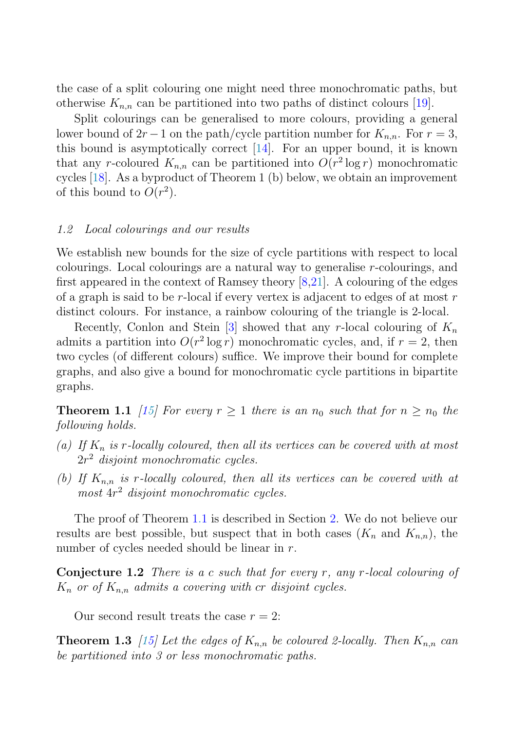<span id="page-2-0"></span>the case of a split colouring one might need three monochromatic paths, but otherwise  $K_{n,n}$  can be partitioned into two paths of distinct colours [\[19\]](#page-6-0).

Split colourings can be generalised to more colours, providing a general lower bound of  $2r - 1$  on the path/cycle partition number for  $K_{nn}$ . For  $r = 3$ , this bound is asymptotically correct [[14](#page-6-0)]. For an upper bound, it is known that any r-coloured  $K_{n,n}$  can be partitioned into  $O(r^2 \log r)$  monochromatic cycles [[18](#page-6-0)]. As a byproduct of Theorem 1 (b) below, we obtain an improvement of this bound to  $O(r^2)$ .

#### 1.2 Local colourings and our results

We establish new bounds for the size of cycle partitions with respect to local colourings. Local colourings are a natural way to generalise r-colourings, and first appeared in the context of Ramsey theory [\[8](#page-5-0)[,21\]](#page-6-0). A colouring of the edges of a graph is said to be  $r$ -local if every vertex is adjacent to edges of at most  $r$ distinct colours. For instance, a rainbow colouring of the triangle is 2-local.

Recently, Conlon and Stein [\[3](#page-5-0)] showed that any r-local colouring of  $K_n$ admits a partition into  $O(r^2 \log r)$  monochromatic cycles, and, if  $r = 2$ , then two cycles (of different colours) suffice. We improve their bound for complete graphs, and also give a bound for monochromatic cycle partitions in bipartite graphs.

**Theorem 1.1** [\[15](#page-6-0)] For every  $r \geq 1$  there is an  $n_0$  such that for  $n \geq n_0$  the following holds.

- (a) If  $K_n$  is r-locally coloured, then all its vertices can be covered with at most  $2r^2$  disjoint monochromatic cycles.
- (b) If  $K_{n,n}$  is r-locally coloured, then all its vertices can be covered with at most  $4r^2$  disjoint monochromatic cycles.

The proof of Theorem 1.1 is described in Section [2](#page-3-0). We do not believe our results are best possible, but suspect that in both cases  $(K_n$  and  $K_{n,n}$ , the number of cycles needed should be linear in r.

**Conjecture 1.2** There is a c such that for every r, any r-local colouring of  $K_n$  or of  $K_{n,n}$  admits a covering with cr disjoint cycles.

Our second result treats the case  $r = 2$ :

**Theorem 1.3** [\[15](#page-6-0)] Let the edges of  $K_{n,n}$  be coloured 2-locally. Then  $K_{n,n}$  can be partitioned into 3 or less monochromatic paths.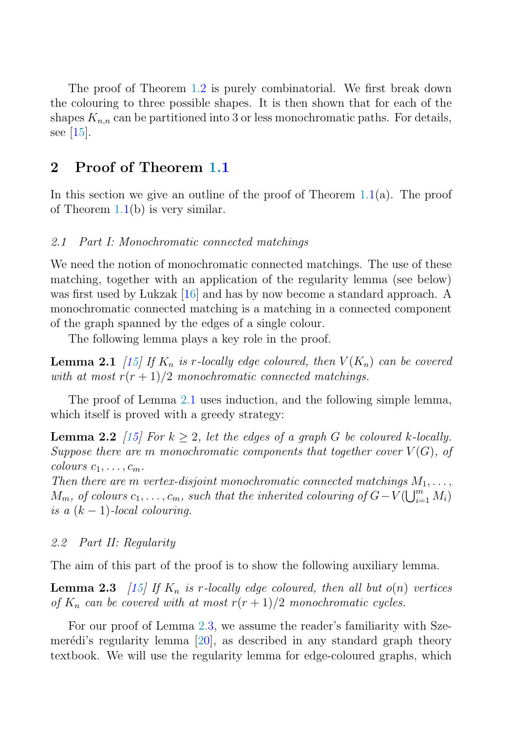<span id="page-3-0"></span>The proof of Theorem [1.2](#page-2-0) is purely combinatorial. We first break down the colouring to three possible shapes. It is then shown that for each of the shapes  $K_{n,n}$  can be partitioned into 3 or less monochromatic paths. For details, see [\[15](#page-6-0)].

## **2 Proof of Theorem [1.1](#page-2-0)**

In this section we give an outline of the proof of Theorem  $1.1(a)$  $1.1(a)$ . The proof of Theorem  $1.1(b)$  $1.1(b)$  is very similar.

#### 2.1 Part I: Monochromatic connected matchings

We need the notion of monochromatic connected matchings. The use of these matching, together with an application of the regularity lemma (see below) was first used by Lukzak [\[16\]](#page-6-0) and has by now become a standard approach. A monochromatic connected matching is a matching in a connected component of the graph spanned by the edges of a single colour.

The following lemma plays a key role in the proof.

**Lemma 2.1** [[15](#page-6-0)] If  $K_n$  is r-locally edge coloured, then  $V(K_n)$  can be covered with at most  $r(r+1)/2$  monochromatic connected matchings.

The proof of Lemma 2.1 uses induction, and the following simple lemma, which itself is proved with a greedy strategy:

**Lemma 2.2** [[15](#page-6-0)] For  $k \geq 2$ , let the edges of a graph G be coloured k-locally. Suppose there are m monochromatic components that together cover  $V(G)$ , of colours  $c_1, \ldots, c_m$ .

Then there are m vertex-disjoint monochromatic connected matchings  $M_1, \ldots,$  $M_m$ , of colours  $c_1, \ldots, c_m$ , such that the inherited colouring of  $G-V(\bigcup_{i=1}^m M_i)$ is a  $(k-1)$ -local colouring.

## 2.2 Part II: Regularity

The aim of this part of the proof is to show the following auxiliary lemma.

**Lemma 2.3** [\[15\]](#page-6-0) If  $K_n$  is r-locally edge coloured, then all but  $o(n)$  vertices of  $K_n$  can be covered with at most  $r(r+1)/2$  monochromatic cycles.

For our proof of Lemma 2.3, we assume the reader's familiarity with Szemerédi's regularity lemma  $[20]$ , as described in any standard graph theory textbook. We will use the regularity lemma for edge-coloured graphs, which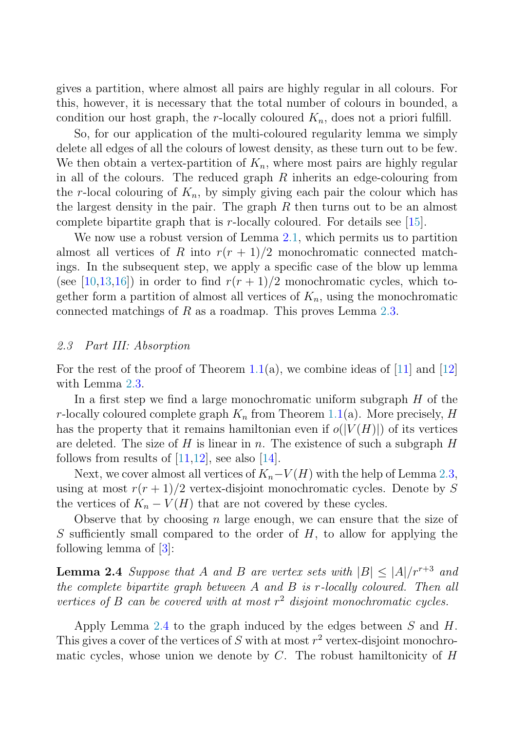gives a partition, where almost all pairs are highly regular in all colours. For this, however, it is necessary that the total number of colours in bounded, a condition our host graph, the r-locally coloured  $K_n$ , does not a priori fulfill.

So, for our application of the multi-coloured regularity lemma we simply delete all edges of all the colours of lowest density, as these turn out to be few. We then obtain a vertex-partition of  $K_n$ , where most pairs are highly regular in all of the colours. The reduced graph  $R$  inherits an edge-colouring from the r-local colouring of  $K_n$ , by simply giving each pair the colour which has the largest density in the pair. The graph  $R$  then turns out to be an almost complete bipartite graph that is  $r$ -locally coloured. For details see [\[15\]](#page-6-0).

We now use a robust version of Lemma [2.1,](#page-3-0) which permits us to partition almost all vertices of R into  $r(r + 1)/2$  monochromatic connected matchings. In the subsequent step, we apply a specific case of the blow up lemma (see [[10](#page-5-0)[,13,16](#page-6-0)]) in order to find  $r(r + 1)/2$  monochromatic cycles, which together form a partition of almost all vertices of  $K_n$ , using the monochromatic connected matchings of R as a roadmap. This proves Lemma [2.3](#page-3-0).

## 2.3 Part III: Absorption

For the rest of the proof of Theorem [1.1\(](#page-2-0)a), we combine ideas of [[11\]](#page-5-0) and [[12](#page-5-0)] with Lemma [2.3](#page-3-0).

In a first step we find a large monochromatic uniform subgraph  $H$  of the r-locally coloured complete graph  $K_n$  from Theorem [1.1](#page-2-0)(a). More precisely, H has the property that it remains hamiltonian even if  $o(|V(H)|)$  of its vertices are deleted. The size of  $H$  is linear in n. The existence of such a subgraph  $H$ follows from results of  $[11,12]$  $[11,12]$ , see also  $[14]$  $[14]$  $[14]$ .

Next, we cover almost all vertices of  $K_n-V(H)$  with the help of Lemma [2.3](#page-3-0), using at most  $r(r+1)/2$  vertex-disjoint monochromatic cycles. Denote by S the vertices of  $K_n - V(H)$  that are not covered by these cycles.

Observe that by choosing n large enough, we can ensure that the size of S sufficiently small compared to the order of  $H$ , to allow for applying the following lemma of  $[3]$  $[3]$ :

**Lemma 2.4** Suppose that A and B are vertex sets with  $|B| \leq |A|/r^{r+3}$  and the complete bipartite graph between A and B is r-locally coloured. Then all vertices of B can be covered with at most  $r^2$  disjoint monochromatic cycles.

Apply Lemma  $2.4$  to the graph induced by the edges between  $S$  and  $H$ . This gives a cover of the vertices of S with at most  $r^2$  vertex-disjoint monochromatic cycles, whose union we denote by  $C$ . The robust hamiltonicity of  $H$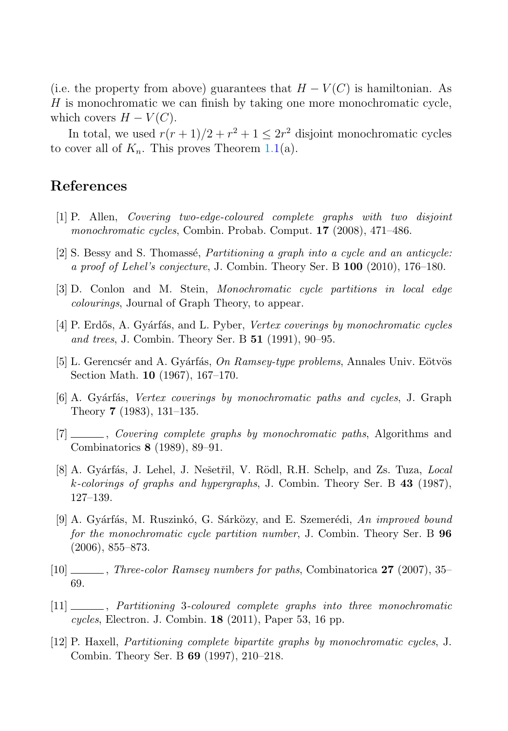<span id="page-5-0"></span>(i.e. the property from above) guarantees that  $H - V(C)$  is hamiltonian. As  $H$  is monochromatic we can finish by taking one more monochromatic cycle, which covers  $H - V(C)$ .

In total, we used  $r(r+1)/2 + r^2 + 1 \leq 2r^2$  disjoint monochromatic cycles to cover all of  $K_n$ . This proves Theorem [1.1\(](#page-2-0)a).

# **References**

- [1] P. Allen, Covering two-edge-coloured complete graphs with two disjoint monochromatic cycles, Combin. Probab. Comput. **17** (2008), 471–486.
- $[2]$  S. Bessy and S. Thomassé, *Partitioning a graph into a cycle and an anticycle:* a proof of Lehel's conjecture, J. Combin. Theory Ser. B **100** (2010), 176–180.
- [3] D. Conlon and M. Stein, Monochromatic cycle partitions in local edge colourings, Journal of Graph Theory, to appear.
- [4] P. Erdős, A. Gyárfás, and L. Pyber, Vertex coverings by monochromatic cycles and trees, J. Combin. Theory Ser. B **51** (1991), 90–95.
- [5] L. Gerencsér and A. Gyárfás, On Ramsey-type problems, Annales Univ. Eötvös Section Math. **10** (1967), 167–170.
- [6] A. Gyárfás, *Vertex coverings by monochromatic paths and cycles*, J. Graph Theory **7** (1983), 131–135.
- [7] , Covering complete graphs by monochromatic paths, Algorithms and Combinatorics **8** (1989), 89–91.
- [8] A. Gyárfás, J. Lehel, J. Nešetřil, V. Rödl, R.H. Schelp, and Zs. Tuza, Local k-colorings of graphs and hypergraphs, J. Combin. Theory Ser. B **43** (1987), 127–139.
- $[9]$  A. Gyárfás, M. Ruszinkó, G. Sárközy, and E. Szemerédi, An improved bound for the monochromatic cycle partition number, J. Combin. Theory Ser. B **96** (2006), 855–873.
- [10] , Three-color Ramsey numbers for paths, Combinatorica **27** (2007), 35– 69.
- [11] , Partitioning 3-coloured complete graphs into three monochromatic cycles, Electron. J. Combin. **18** (2011), Paper 53, 16 pp.
- [12] P. Haxell, Partitioning complete bipartite graphs by monochromatic cycles, J. Combin. Theory Ser. B **69** (1997), 210–218.